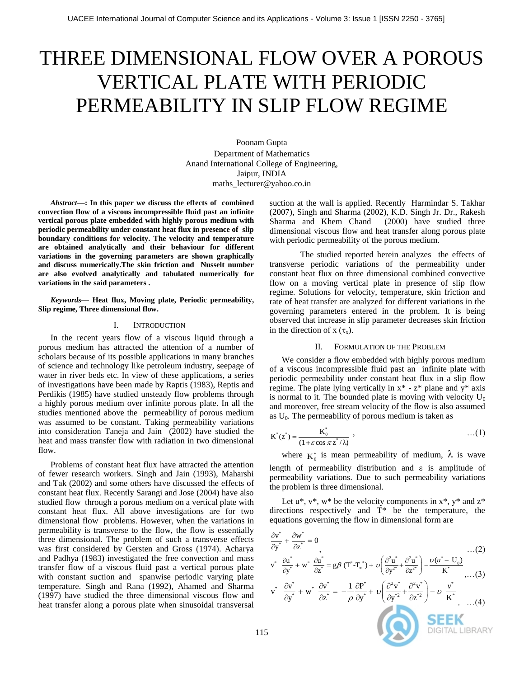# THREE DIMENSIONAL FLOW OVER A POROUS VERTICAL PLATE WITH PERIODIC PERMEABILITY IN SLIP FLOW REGIME

Poonam Gupta Department of Mathematics Anand International College of Engineering, Jaipur, INDIA maths\_lecturer@yahoo.co.in

*Abstract***—: In this paper we discuss the effects of combined convection flow of a viscous incompressible fluid past an infinite vertical porous plate embedded with highly porous medium with periodic permeability under constant heat flux in presence of slip boundary conditions for velocity. The velocity and temperature are obtained analytically and their behaviour for different variations in the governing parameters are shown graphically and discuss numerically.The skin friction and Nusselt number are also evolved analytically and tabulated numerically for variations in the said parameters .**

*Keywords***— Heat flux, Moving plate, Periodic permeability, Slip regime, Three dimensional flow.**

### I. INTRODUCTION

In the recent years flow of a viscous liquid through a porous medium has attracted the attention of a number of scholars because of its possible applications in many branches of science and technology like petroleum industry, seepage of water in river beds etc. In view of these applications, a series of investigations have been made by Raptis (1983), Reptis and Perdikis (1985) have studied unsteady flow problems through a highly porous medium over infinite porous plate. In all the studies mentioned above the permeability of porous medium was assumed to be constant. Taking permeability variations into consideration Taneja and Jain (2002) have studied the heat and mass transfer flow with radiation in two dimensional flow.

Problems of constant heat flux have attracted the attention of fewer research workers. Singh and Jain (1993), Maharshi and Tak (2002) and some others have discussed the effects of constant heat flux. Recently Sarangi and Jose (2004) have also studied flow through a porous medium on a vertical plate with constant heat flux. All above investigations are for two dimensional flow problems. However, when the variations in permeability is transverse to the flow, the flow is essentially three dimensional. The problem of such a transverse effects was first considered by Gersten and Gross (1974). Acharya and Padhya (1983) investigated the free convection and mass transfer flow of a viscous fluid past a vertical porous plate with constant suction and spanwise periodic varying plate temperature. Singh and Rana (1992), Ahamed and Sharma (1997) have studied the three dimensional viscous flow and heat transfer along a porous plate when sinusoidal transversal suction at the wall is applied. Recently Harmindar S. Takhar (2007), Singh and Sharma (2002), K.D. Singh Jr. Dr., Rakesh Sharma and Khem Chand (2000) have studied three dimensional viscous flow and heat transfer along porous plate with periodic permeability of the porous medium.

The studied reported herein analyzes the effects of transverse periodic variations of the permeability under constant heat flux on three dimensional combined convective flow on a moving vertical plate in presence of slip flow regime. Solutions for velocity, temperature, skin friction and rate of heat transfer are analyzed for different variations in the governing parameters entered in the problem. It is being observed that increase in slip parameter decreases skin friction in the direction of x  $(\tau_x)$ .

#### II. FORMULATION OF THE PROBLEM

We consider a flow embedded with highly porous medium of a viscous incompressible fluid past an infinite plate with periodic permeability under constant heat flux in a slip flow regime. The plate lying vertically in  $x^* - z^*$  plane and  $y^*$  axis is normal to it. The bounded plate is moving with velocity  $U_0$ and moreover, free stream velocity of the flow is also assumed as  $U_0$ . The permeability of porous medium is taken as

$$
K^*(z^*) = \frac{K_0^*}{(1 + \varepsilon \cos \pi z^* / \lambda)}, \qquad ...(1)
$$

where  $K_0^*$  is mean permeability of medium,  $\lambda$  is wave length of permeability distribution and  $\varepsilon$  is amplitude of permeability variations. Due to such permeability variations the problem is three dimensional.

Let  $u^*, v^*, w^*$  be the velocity components in  $x^*, y^*$  and  $z^*$ directions respectively and T\* be the temperature, the equations governing the flow in dimensional form are

$$
\frac{\partial v^*}{\partial y^*} + \frac{\partial w^*}{\partial z^*} = 0 \qquad \qquad \dots (2)
$$
\n
$$
v^* \frac{\partial u^*}{\partial y^*} + w^* \frac{\partial u^*}{\partial z^*} = g\beta \left( T^* T_x^* \right) + v \left( \frac{\partial^2 u^*}{\partial y^{2*}} + \frac{\partial^2 u^*}{\partial z^{2*}} \right) - \frac{v(u^* - U_0)}{K^*} \qquad \dots (3)
$$
\n
$$
v^* \frac{\partial v^*}{\partial y^*} + w^* \frac{\partial v^*}{\partial z^*} = -\frac{1}{\rho} \frac{\partial P^*}{\partial y^*} + v \left( \frac{\partial^2 v^*}{\partial y^{*2}} + \frac{\partial^2 v^*}{\partial z^{*2}} \right) - v \frac{v^*}{K^*} \qquad \dots (4)
$$
\n
$$
\text{DEEK}
$$
\nDIGITAL LIBRARY

**AV**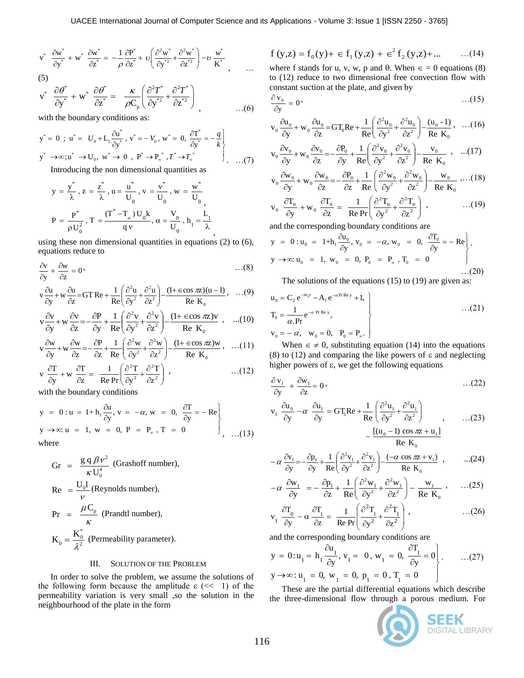$$
v^* \frac{\partial w^*}{\partial y^*} + w^* \frac{\partial w^*}{\partial z^*} = -\frac{1}{\rho} \frac{\partial P^*}{\partial z^*} + \upsilon \left( \frac{\partial^2 w^*}{\partial y^{*2}} + \frac{\partial^2 w^*}{\partial z^{*2}} \right) - \upsilon \frac{w^*}{K^*}
$$
\n(5)

(5)  
\n
$$
v^* \frac{\partial \theta^*}{\partial y^*} + w^* \frac{\partial \theta^*}{\partial z^*} = \frac{\kappa}{\rho C_p} \left( \frac{\partial^2 T^*}{\partial y^{*2}} + \frac{\partial^2 T^*}{\partial z^{*2}} \right)
$$
\n
$$
\therefore
$$
\n(6)

with the boundary conditions as:  
\n
$$
y^* = 0
$$
;  $u^* = U_0 + L_1 \frac{\partial u^*}{\partial y^*}$ ,  $v^* = -V_0$ ,  $w^* = 0$ ,  $\frac{\partial T^*}{\partial y^*} = -\frac{q}{k}$   
\n $y^* \rightarrow \infty$ ;  $u^* \rightarrow U_0$ ,  $w^* \rightarrow 0$ ,  $P^* \rightarrow P_{\infty}^*$ ,  $T^* \rightarrow T_{\infty}^*$  (7)  
\nIntroducing the non-dimensional quantities as

Introducing the non dimensional quantities as

$$
y = \frac{y^*}{\lambda}, z = \frac{z^*}{\lambda}, u = \frac{u^*}{U_0}, v = \frac{v^*}{U_0}, w = \frac{w^*}{U_0},
$$
  

$$
P = \frac{P^*}{\rho U_0^2}, T = \frac{(T^* - T_\infty)U_0 k}{qv}, \alpha = \frac{V_0}{U_0}, h_1 = \frac{L_1}{\lambda},
$$

using these non dimensional quantities in equations (2) to (6), equations reduce to

$$
\frac{\partial v}{\partial y} + \frac{\partial w}{\partial z} = 0
$$
 ... (8)

$$
\frac{\partial v}{\partial y} + \frac{\partial w}{\partial z} = 0
$$
\n...(8)  
\n
$$
v \frac{\partial u}{\partial y} + w \frac{\partial u}{\partial z} = GT \text{Re} + \frac{1}{\text{Re}} \left( \frac{\partial^2 u}{\partial y^2} + \frac{\partial^2 u}{\partial z^2} \right) - \frac{(1 + \epsilon \cos \pi z)(u - 1)}{\text{Re } K_0}, \dots (9)
$$

$$
v\frac{\partial v}{\partial y} + w\frac{\partial v}{\partial z} = -\frac{\partial P}{\partial y} + \frac{1}{Re} \left( \frac{\partial^2 v}{\partial y^2} + \frac{\partial^2 v}{\partial z^2} \right) - \frac{(1 + \epsilon \cos \pi z)v}{Re K_0} , \quad ...(10)
$$

$$
v \frac{\partial w}{\partial y} + w \frac{\partial w}{\partial z} = -\frac{\partial P}{\partial z} + \frac{1}{Re} \left( \frac{\partial^2 w}{\partial y^2} + \frac{\partial^2 w}{\partial z^2} \right) - \frac{(1 + \epsilon \cos \pi z)w}{Re K_0}, \dots (11)
$$
  

$$
v \frac{\partial T}{\partial y} + w \frac{\partial T}{\partial z} = \frac{1}{Re Pr} \left( \frac{\partial^2 T}{\partial y^2} + \frac{\partial^2 T}{\partial z^2} \right), \dots (12)
$$

with the boundary conditions  
\n
$$
y = 0: u = 1 + h_1 \frac{\partial u}{\partial y}, v = -\alpha, w = 0, \frac{\partial T}{\partial y} = -Re
$$
  
\n $y \rightarrow \infty: u = 1, w = 0, P = P_{\infty}, T = 0$   
\nwhere

$$
Gr = \frac{g q \beta v^2}{\kappa U_0^4}
$$
 (Grashoff number),  
\n
$$
Re = \frac{U_0 I}{v}
$$
 (Reynolds number),  
\n
$$
Pr = \frac{\mu C_p}{\kappa}
$$
 (Prandtl number),  
\n
$$
K_0 = \frac{K_0^*}{\lambda^2}
$$
 (Permeability parameter).

## III. SOLUTION OF THE PROBLEM

In order to solve the problem, we assume the solutions of the following form because the amplitude  $\varepsilon$  ( $\leq$  1) of the permeability variation is very small ,so the solution in the neighbourhood of the plate in the form

$$
f(y,z) = f_0(y) + \epsilon f_1(y,z) + \epsilon^2 f_2(y,z) + ... \quad ...(14)
$$

where f stands for u, v, w, p and  $\theta$ . When  $\epsilon = 0$  equations (8) to (12) reduce to two dimensional free convection flow with constant suction at the plate, and given by

$$
\frac{\partial v_0}{\partial y} = 0, \tag{15}
$$

$$
v_0 \frac{\partial u_0}{\partial y} + w_0 \frac{\partial u_0}{\partial z} = GT_0 Re + \frac{1}{Re} \left( \frac{\partial^2 u_0}{\partial y^2} + \frac{\partial^2 u_0}{\partial z^2} \right) - \frac{(u_0 - 1)}{Re K_0}, \dots (16)
$$

$$
\mathbf{v}_0 \frac{\partial \mathbf{v}_0}{\partial \mathbf{y}} + \mathbf{w}_0 \frac{\partial \mathbf{v}_0}{\partial \mathbf{z}} = -\frac{\partial \mathbf{P}_0}{\partial \mathbf{y}} + \frac{1}{\text{Re}} \left( \frac{\partial^2 \mathbf{v}_0}{\partial \mathbf{y}^2} + \frac{\partial^2 \mathbf{v}_0}{\partial \mathbf{z}^2} \right) - \frac{\mathbf{v}_0}{\text{Re } \mathbf{K}_0} , \quad \dots (17)
$$

$$
v_0 \frac{\partial w_0}{\partial y} + w_0 \frac{\partial w_0}{\partial z} = -\frac{\partial P_0}{\partial z} + \frac{1}{Re} \left( \frac{\partial^2 w_0}{\partial y^2} + \frac{\partial^2 w_0}{\partial z^2} \right) - \frac{w_0}{Re K_0}, \dots (18)
$$

$$
v_0 \frac{\partial T_0}{\partial y} + w_0 \frac{\partial T_0}{\partial z} = \frac{1}{\text{Re Pr}} \left( \frac{\partial^2 T_0}{\partial y^2} + \frac{\partial^2 T_0}{\partial z^2} \right) , \qquad \qquad \dots (19)
$$

$$
\partial y
$$
  $\partial z$  Re Pr( $\partial y^2$   $\partial z^2$ )  
\nand the corresponding boundary conditions are  
\n $y = 0: u_0 = 1 + h_1 \frac{\partial u_0}{\partial y}, v_0 = -\alpha, w_0 = 0, \frac{\partial T_0}{\partial y} = -Re$   
\n $y \rightarrow \infty: u_0 = 1, w_0 = 0, P_0 = P_\infty, T_0 = 0$ ...(20)  
\nThe solutions of the equations (15) to (10) are given as:

The solutions of the equations (15) to (19) are given as:

$$
u_0 = C_2 e^{-m_1 y} - A_1 e^{-\alpha Pr Re y} + 1,
$$
  
\n
$$
T_0 = \frac{1}{\alpha. Pr} e^{-\alpha Pr Re y},
$$
  
\n
$$
v_0 = -\alpha, \quad w_0 = 0, \quad P_0 = P_{\infty}.
$$
  
\n...(21)

When  $\epsilon \neq 0$ , substituting equation (14) into the equations (8) to (12) and comparing the like powers of  $\varepsilon$  and neglecting higher powers of  $\varepsilon$ , we get the following equations

$$
\frac{\partial v_1}{\partial y} + \frac{\partial w_1}{\partial z} = 0, \qquad ...(22)
$$

$$
v_1 \frac{\partial u_0}{\partial y} - \alpha \frac{\partial u_1}{\partial y} = GT_1 Re + \frac{1}{Re} \left( \frac{\partial^2 u_1}{\partial y^2} + \frac{\partial^2 u_1}{\partial z^2} \right) \qquad (23)
$$

$$
- \frac{[(u_0 - 1) \cos \pi z + u_1]}{Re K_0}
$$

$$
-\alpha \frac{\partial v_1}{\partial y} = -\frac{\partial p_1}{\partial y} + \frac{1}{Re} \left( \frac{\partial^2 v_1}{\partial y^2} + \frac{\partial^2 v_1}{\partial z^2} \right) - \frac{(-\alpha \cos \pi z + v_1)}{Re K_0} , \qquad ...(24)
$$

$$
-\alpha \frac{\partial w_1}{\partial y} = -\frac{\partial p_1}{\partial y} + \frac{1}{Re} \left( \frac{\partial^2 w_1}{\partial z^2} + \frac{\partial^2 w_1}{\partial z^2} \right) - \frac{w_1}{Im K_0} , \qquad ...(25)
$$

$$
\frac{\partial y}{\partial y} \quad \frac{\partial y}{\partial z} \quad \text{Re} \left( \frac{\partial y^2}{\partial z^2} \right) \quad \text{Re } K_0
$$
\n
$$
-\alpha \quad \frac{\partial w_1}{\partial y} = -\frac{\partial p_1}{\partial z} + \frac{1}{\text{Re}} \left( \frac{\partial^2 w_1}{\partial y^2} + \frac{\partial^2 w_1}{\partial z^2} \right) - \frac{w_1}{\text{Re } K_0} \quad \dots (25)
$$

$$
v_1 \frac{\partial T_0}{\partial y} - \alpha \frac{\partial T_1}{\partial z} = \frac{1}{\text{Re Pr}} \left( \frac{\partial^2 T_1}{\partial y^2} + \frac{\partial^2 T_1}{\partial z^2} \right), \qquad \qquad \dots (26)
$$

and the corresponding boundary conditions are

$$
y = 0: u_1 = h_1 \frac{\partial u_1}{\partial y}, v_1 = 0, w_1 = 0, \frac{\partial T_1}{\partial y} = 0
$$
  
\n $y \rightarrow \infty: u_1 = 0, w_1 = 0, p_1 = 0, T_1 = 0$  ...(27)

These are the partial differential equations which describe the three-dimensional flow through a porous medium. For

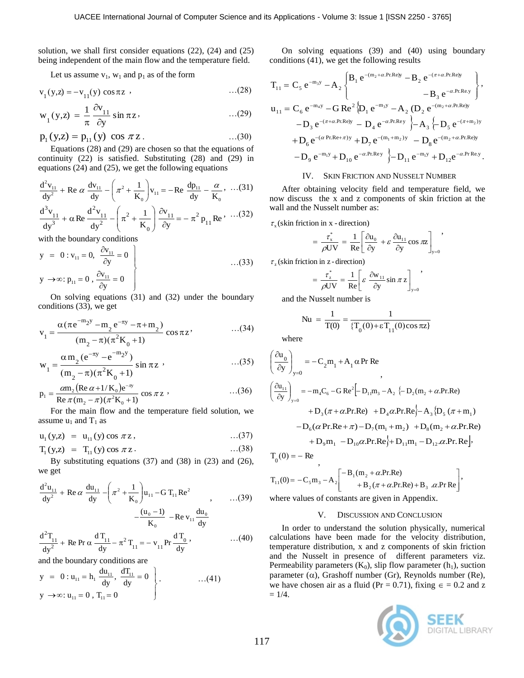solution, we shall first consider equations (22), (24) and (25) being independent of the main flow and the temperature field.

Let us assume  $v_1$ ,  $w_1$  and  $p_1$  as of the form

$$
v_1(y, z) = -v_{11}(y) \cos \pi z
$$
 ...(28)

$$
w_1(y,z) = \frac{1}{\pi} \frac{\partial v_{11}}{\partial y} \sin \pi z \qquad \qquad \dots (29)
$$

$$
p_1(y,z) = p_{11}(y) \cos \pi z
$$
...(30)

Equations (28) and (29) are chosen so that the equations of continuity (22) is satisfied. Substituting (28) and (29) in

equations (24) and (25), we get the following equations  
\n
$$
\frac{d^2v_{11}}{dy^2} + \text{Re }\alpha \frac{dv_{11}}{dy} - \left(\pi^2 + \frac{1}{K_0}\right)v_{11} = -\text{Re }\frac{dp_{11}}{dy} - \frac{\alpha}{K_0}, \dots (31)
$$
\n
$$
\frac{d^3v_{11}}{dy^3} + \alpha \text{Re }\frac{d^2v_{11}}{dy^2} - \left(\pi^2 + \frac{1}{K_0}\right)\frac{\partial v_{11}}{\partial y} = -\pi^2 p_{11} \text{Re } \dots (32)
$$

with the boundary conditions

$$
y = 0: v_{11} = 0, \frac{\partial v_{11}}{\partial y} = 0
$$
  
  
 $y \rightarrow \infty: p_{11} = 0, \frac{\partial v_{11}}{\partial y} = 0$ ...(33)

On solving equations (31) and (32) under the boundary conditions (33), we get

$$
v_1 = \frac{\alpha(\pi e^{-m_2 y} - m_2 e^{-\pi y} - \pi + m_2)}{(m_2 - \pi)(\pi^2 K_0 + 1)}
$$
cos $\pi z$ , ...(34)

$$
w_1 = \frac{\alpha m_2 (e^{-\pi y} - e^{-m_2 y})}{(m_2 - \pi)(\pi^2 K_0 + 1)} \sin \pi z
$$
...(35)

$$
p_1 = \frac{\alpha m_2 (Re \alpha + 1/K_0) e^{-\pi y}}{Re \pi (m_2 - \pi) (\pi^2 K_0 + 1)} \cos \pi z
$$
...(36)

For the main flow and the temperature field solution, we assume  $u_1$  and  $T_1$  as

$$
u_1(y,z) = u_{11}(y) \cos \pi z,
$$
 ... (37)

$$
T_1(y,z) = T_{11}(y) \cos \pi z.
$$
...(38)

By substituting equations (37) and (38) in (23) and (26), we get

$$
\frac{d^2 u_{11}}{dy^2} + \text{Re}\,\alpha \frac{du_{11}}{dy} - \left(\pi^2 + \frac{1}{K_0}\right) u_{11} - G T_{11} \text{Re}^2
$$
\n
$$
- \frac{(u_0 - 1)}{K_0} - \text{Re}\,v_{11} \frac{du_0}{dy}
$$
\n
$$
v_{11}^2
$$

$$
\frac{d^{2}T_{11}}{dy^{2}} + \text{Re} \Pr \alpha \frac{dT_{11}}{dy} - \pi^{2} T_{11} = -v_{11} \Pr \frac{dT_{0}}{dy}, \qquad ...(40)
$$

and the boundary conditions are  
\n
$$
y = 0: u_{11} = h_1 \frac{du_{11}}{dy}, \frac{dT_{11}}{dy} = 0
$$
\n
$$
y \rightarrow \infty: u_{11} = 0, T_{11} = 0
$$
\n...(41)

On solving equations (39) and (40) using boundary conditions (41), we get the following results

$$
\begin{aligned} T_{11} &= C_5 \, e^{-m_3 y} - A_2 \begin{Bmatrix} B_1 \, e^{-(m_2 + \alpha.Pr. Re) y} - B_2 \, e^{-(\pi + \alpha.Pr. Re) y} \\ & - B_3 \, e^{-\alpha.Pr. Re, y} \end{Bmatrix}, \\ u_{11} &= C_6 \, e^{-m_4 y} - G \, Re^2 \{ D_1 \, e^{-m_3 y} - A_2 \, (D_2 \, e^{-(m_2 + \alpha.Pr. Re) y} \\ & - D_3 \, e^{-(\pi + \alpha.Pr. Re) y} - D_4 \, e^{-\alpha.Pr. Rey} \} - A_3 \{ - D_5 \, e^{-(\pi + m_2)y} \\ & + D_6 \, e^{-(\alpha.Pr. Re + \pi) y} + D_7 \, e^{-(m_1 + m_2) y} - D_8 \, e^{-(m_2 + \alpha.Pr. Re) y} \\ & - D_9 \, e^{-m_1 y} + D_{10} \, e^{-\alpha.Pr. Rey} \, \} - D_{11} \, e^{-m_1 y} + D_{12} e^{-\alpha.Pr. Re, y} \, . \end{aligned}
$$

## IV. SKIN FRICTION AND NUSSELT NUMBER

After obtaining velocity field and temperature field, we now discuss the x and z components of skin friction at the wall and the Nusselt number as:

 $\tau_{\mathbf{x}}$  (skin friction in x - direction)

$$
= \frac{\tau_x^*}{\rho UV} = \frac{1}{Re} \left[ \frac{\partial u_0}{\partial y} + \varepsilon \frac{\partial u_{11}}{\partial y} \cos \pi z \right]_{y=0}
$$

,

 $\tau_z$  (skin friction in z - direction)

$$
= \frac{\tau_z^*}{\rho UV} = \frac{1}{\text{Re}} \left[ \varepsilon \frac{\partial w_{11}}{\partial y} \sin \pi z \right]_{y=0},
$$

and the Nusselt number is

$$
Nu = \frac{1}{T(0)} = \frac{1}{\{T_0(0) + \epsilon T_{11}(0)\cos \pi z\}}
$$

where

$$
\left(\frac{\partial u_0}{\partial y}\right)_{y=0} = -C_2 m_1 + A_1 \alpha Pr Re
$$
\n
$$
\left(\frac{\partial u_{11}}{\partial y}\right)_{y=0} = -m_4 C_6 - G Re^2 [-D_{11}m_3 - A_2 \{-D_2(m_2 + \alpha Pr: Re) + D_3(\pi + \alpha Pr: Re) + D_4\alpha Pr: Re\} - A_3 \{D_5(\pi + m_1) -D_6(\alpha Pr: Re + \pi) - D_7(m_1 + m_2) + D_8(m_2 + \alpha Pr: Re) + D_9m_1 - D_{10}\alpha Pr: Re\} + D_{11}m_1 - D_{12}\alpha Pr: Re\}.
$$

$$
T_0(0) = - \text{ Re } ,
$$
  
\n
$$
T_{11}(0) = -C_5 m_3 - A_2 \begin{bmatrix} -B_1(m_2 + \alpha \cdot \text{Pr} \cdot \text{Re}) \\ +B_2(\pi + \alpha \cdot \text{Pr} \cdot \text{Re}) + B_3 \cdot \alpha \cdot \text{Pr} \cdot \text{Re} \end{bmatrix},
$$

where values of constants are given in Appendix.

#### V. DISCUSSION AND CONCLUSION

In order to understand the solution physically, numerical calculations have been made for the velocity distribution, temperature distribution, x and z components of skin friction and the Nusselt in presence of different parameters viz. Permeability parameters  $(K_0)$ , slip flow parameter  $(h_1)$ , suction parameter  $(\alpha)$ , Grashoff number (Gr), Reynolds number (Re), we have chosen air as a fluid (Pr = 0.71), fixing  $\epsilon$  = 0.2 and z  $= 1/4.$ 

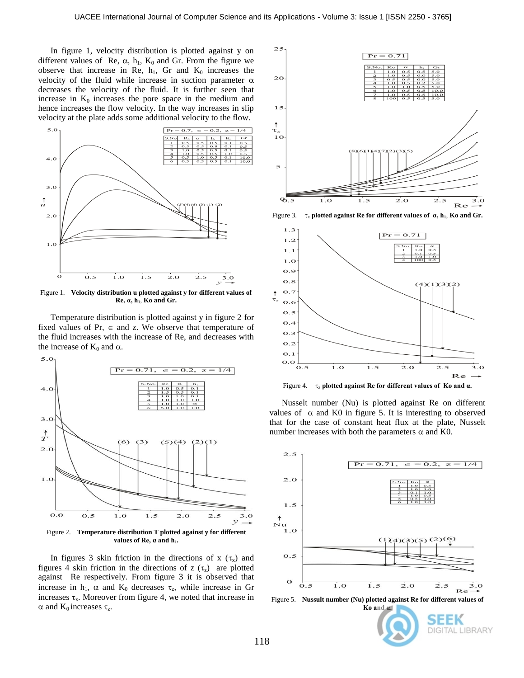In figure 1, velocity distribution is plotted against y on different values of Re,  $\alpha$ ,  $h_1$ ,  $K_0$  and Gr. From the figure we observe that increase in Re,  $h_1$ , Gr and  $K_0$  increases the velocity of the fluid while increase in suction parameter  $\alpha$ decreases the velocity of the fluid. It is further seen that increase in  $K_0$  increases the pore space in the medium and hence increases the flow velocity. In the way increases in slip velocity at the plate adds some additional velocity to the flow.



Figure 1. **Velocity distribution u plotted against y for different values of Re, α, h1**, **Ko and Gr.**

Temperature distribution is plotted against y in figure 2 for fixed values of Pr,  $\in$  and z. We observe that temperature of the fluid increases with the increase of Re, and decreases with the increase of  $K_0$  and  $\alpha$ .



In figures 3 skin friction in the directions of x  $(\tau_x)$  and figures 4 skin friction in the directions of z  $(\tau_z)$  are plotted against Re respectively. From figure 3 it is observed that increase in  $h_1$ ,  $\alpha$  and  $K_0$  decreases  $\tau_z$ , while increase in Gr increases  $\tau_x$ . Moreover from figure 4, we noted that increase in  $\alpha$  and  $K_0$  increases  $\tau_z$ .



Figure 3. <sup>x</sup> **plotted against Re for different values of α, h1**, **Ko and Gr.**



Figure 4. <sup>z</sup> **plotted against Re for different values of Ko and α.**

Nusselt number (Nu) is plotted against Re on different values of  $\alpha$  and K0 in figure 5. It is interesting to observed that for the case of constant heat flux at the plate, Nusselt number increases with both the parameters  $\alpha$  and K0.



Figure 5. **Nussult number (Nu) plotted against Re for different values of**